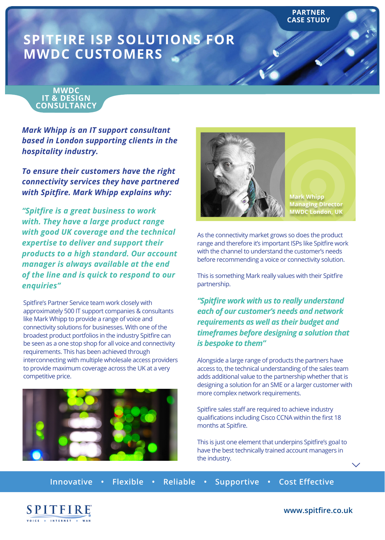# **SPITFIRE ISP SOLUTIONS FOR MWDC CUSTOMERS**

### **MWDC IT & DESIGN CONSULTANCY**

*Mark Whipp is an IT support consultant based in London supporting clients in the hospitality industry.* 

*To ensure their customers have the right connectivity services they have partnered with Spitfire. Mark Whipp explains why:*

*"Spitfire is a great business to work with. They have a large product range with good UK coverage and the technical expertise to deliver and support their products to a high standard. Our account manager is always available at the end of the line and is quick to respond to our enquiries"*

Spitfire's Partner Service team work closely with approximately 500 IT support companies & consultants like Mark Whipp to provide a range of voice and connectivity solutions for businesses. With one of the broadest product portfolios in the industry Spitfire can be seen as a one stop shop for all voice and connectivity requirements. This has been achieved through interconnecting with multiple wholesale access providers to provide maximum coverage across the UK at a very competitive price.





**Mark Whipp Managing Director MWDC London, UK**

**PARTNER CASE STUDY**

As the connectivity market grows so does the product range and therefore it's important ISPs like Spitfire work with the channel to understand the customer's needs before recommending a voice or connectivity solution.

This is something Mark really values with their Spitfire partnership.

*"Spitfire work with us to really understand each of our customer's needs and network requirements as well as their budget and timeframes before designing a solution that is bespoke to them"*

Alongside a large range of products the partners have access to, the technical understanding of the sales team adds additional value to the partnership whether that is designing a solution for an SME or a larger customer with more complex network requirements.

Spitfire sales staff are required to achieve industry qualifications including Cisco CCNA within the first 18 months at Spitfire.

This is just one element that underpins Spitfire's goal to have the best technically trained account managers in the industry.

**Innovative • Flexible • Reliable • Supportive • Cost Effective**



**www.spitfire.co.uk**